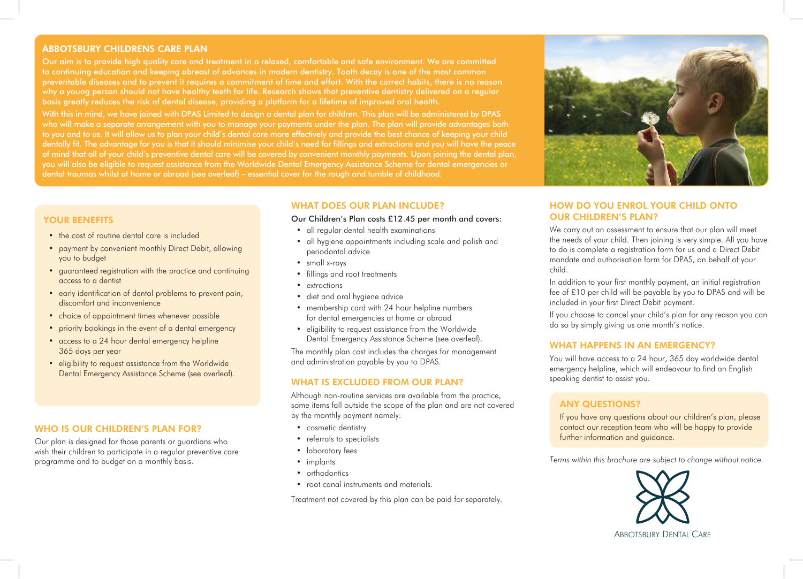## ABBOTSBURY CHILDRENS CARE PLAN

to continuing education and keeping abreast of advances in modern dentistry. Tooth decay is one of the most common why a young person should not have healthy teeth for life. Research shows that preventive dentistry delivered on a regular basis greatly reduces the risk of dental disease, providing a platform for a lifetime of improved oral health.

With this in mind, we have joined with DPAS Limited to design a dental plan for children. This plan will be administered by DPAS who will make a separate arrangement with you to manage your payments under the plan. The plan will provide advantages both to you and to us. It will allow us to plan your child's dental care more effectively and provide the best chance of keeping your child dentally fit. The advantage for you is that it should minimise your child's need for fillings and extractions and you will have the peace you will also be eligible to request assistance from the Worldwide Dental Emergency Assistance Scheme for dental emergencies or dental traumas whilst at home or abroad (see overleaf) – essential cover for the rough and tumble of childhood.

# YOUR BENEFITS

- the cost of routine dental care is included
- payment by convenient monthly Direct Debit, allowing you to budget
- guaranteed registration with the practice and continuing access to a dentist
- early identification of dental problems to prevent pain, discomfort and inconvenience
- choice of appointment times whenever possible
- priority bookings in the event of a dental emergency
- access to a 24 hour dental emergency helpline 365 days per year
- eligibility to request assistance from the Worldwide Dental Emergency Assistance Scheme (see overleaf).

#### WHO IS OUR CHILDREN'S PLAN FOR?

Our plan is designed for those parents or guardians who wish their children to participate in a regular preventive care programme and to budget on a monthly basis.

## WHAT DOES OUR PLAN INCLUDE?

#### Our Children's Plan costs £12.45 per month and covers:

- all regular dental health examinations
- all hygiene appointments including scale and polish and periodontal advice
- small x-rays
- fillings and root treatments
- extractions
- diet and oral hygiene advice
- membership card with 24 hour helpline numbers for dental emergencies at home or abroad
- eligibility to request assistance from the Worldwide Dental Emergency Assistance Scheme (see overleaf).

The monthly plan cost includes the charges for management and administration payable by you to DPAS.

#### WHAT IS EXCLUDED FROM OUR PLAN?

Although non-routine services are available from the practice, some items fall outside the scope of the plan and are not covered by the monthly payment namely:

- cosmetic dentistry
- referrals to specialists
- laboratory fees
- implants
- orthodontics
- root canal instruments and materials.

Treatment not covered by this plan can be paid for separately.



## HOW DO YOU ENROL YOUR CHILD ONTO OUR CHILDREN'S PLAN?

We carry out an assessment to ensure that our plan will meet the needs of your child. Then joining is very simple. All you have to do is complete a registration form for us and a Direct Debit mandate and authorisation form for DPAS, on behalf of your child.

In addition to your first monthly payment, an initial registration fee of £10 per child will be payable by you to DPAS and will be included in your first Direct Debit payment.

If you choose to cancel your child's plan for any reason you can do so by simply giving us one month's notice.

#### WHAT HAPPENS IN AN EMERGENCY?

You will have access to a 24 hour, 365 day worldwide dental emergency helpline, which will endeavour to find an English speaking dentist to assist you.

# ANY QUESTIONS?

If you have any questions about our children's plan, please contact our reception team who will be happy to provide further information and guidance.

*Terms within this brochure are subject to change without notice.*